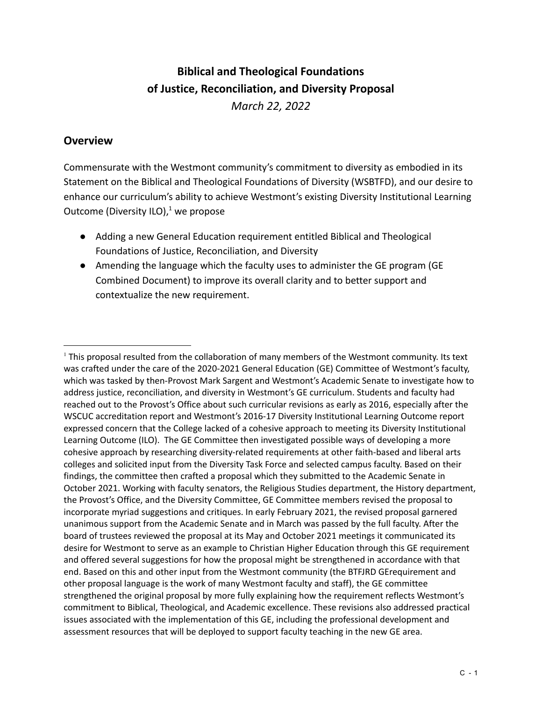# **Biblical and Theological Foundations of Justice, Reconciliation, and Diversity Proposal** *March 22, 2022*

### **Overview**

Commensurate with the Westmont community's commitment to diversity as embodied in its Statement on the Biblical and Theological Foundations of Diversity (WSBTFD), and our desire to enhance our curriculum's ability to achieve Westmont's existing Diversity Institutional Learning Outcome (Diversity ILO), $1$  we propose

- Adding a new General Education requirement entitled Biblical and Theological Foundations of Justice, Reconciliation, and Diversity
- Amending the language which the faculty uses to administer the GE program (GE Combined Document) to improve its overall clarity and to better support and contextualize the new requirement.

<sup>1</sup> This proposal resulted from the collaboration of many members of the Westmont community. Its text was crafted under the care of the 2020-2021 General Education (GE) Committee of Westmont's faculty, which was tasked by then-Provost Mark Sargent and Westmont's Academic Senate to investigate how to address justice, reconciliation, and diversity in Westmont's GE curriculum. Students and faculty had reached out to the Provost's Office about such curricular revisions as early as 2016, especially after the WSCUC accreditation report and Westmont's 2016-17 Diversity Institutional Learning Outcome report expressed concern that the College lacked of a cohesive approach to meeting its Diversity Institutional Learning Outcome (ILO). The GE Committee then investigated possible ways of developing a more cohesive approach by researching diversity-related requirements at other faith-based and liberal arts colleges and solicited input from the Diversity Task Force and selected campus faculty. Based on their findings, the committee then crafted a proposal which they submitted to the Academic Senate in October 2021. Working with faculty senators, the Religious Studies department, the History department, the Provost's Office, and the Diversity Committee, GE Committee members revised the proposal to incorporate myriad suggestions and critiques. In early February 2021, the revised proposal garnered unanimous support from the Academic Senate and in March was passed by the full faculty. After the board of trustees reviewed the proposal at its May and October 2021 meetings it communicated its desire for Westmont to serve as an example to Christian Higher Education through this GE requirement and offered several suggestions for how the proposal might be strengthened in accordance with that end. Based on this and other input from the Westmont community (the BTFJRD GErequirement and other proposal language is the work of many Westmont faculty and staff), the GE committee strengthened the original proposal by more fully explaining how the requirement reflects Westmont's commitment to Biblical, Theological, and Academic excellence. These revisions also addressed practical issues associated with the implementation of this GE, including the professional development and assessment resources that will be deployed to support faculty teaching in the new GE area.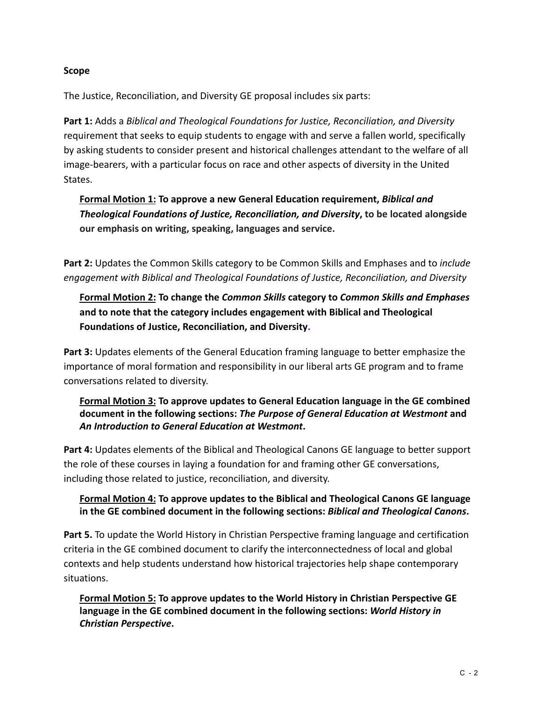#### **Scope**

The Justice, Reconciliation, and Diversity GE proposal includes six parts:

**Part 1:** Adds a *Biblical and Theological Foundations for Justice, Reconciliation, and Diversity* requirement that seeks to equip students to engage with and serve a fallen world, specifically by asking students to consider present and historical challenges attendant to the welfare of all image-bearers, with a particular focus on race and other aspects of diversity in the United States.

**Formal Motion 1: To approve a new General Education requirement,** *Biblical and Theological Foundations of Justice, Reconciliation, and Diversity***, to be located alongside our emphasis on writing, speaking, languages and service.**

**Part 2:** Updates the Common Skills category to be Common Skills and Emphases and to *include engagement with Biblical and Theological Foundations of Justice, Reconciliation, and Diversity*

# **Formal Motion 2: To change the** *Common Skills* **category to** *Common Skills and Emphases* **and to note that the category includes engagement with Biblical and Theological Foundations of Justice, Reconciliation, and Diversity.**

**Part 3:** Updates elements of the General Education framing language to better emphasize the importance of moral formation and responsibility in our liberal arts GE program and to frame conversations related to diversity.

#### **Formal Motion 3: To approve updates to General Education language in the GE combined document in the following sections:** *The Purpose of General Education at Westmont* **and** *An Introduction to General Education at Westmont***.**

**Part 4:** Updates elements of the Biblical and Theological Canons GE language to better support the role of these courses in laying a foundation for and framing other GE conversations, including those related to justice, reconciliation, and diversity.

#### **Formal Motion 4: To approve updates to the Biblical and Theological Canons GE language in the GE combined document in the following sections:** *Biblical and Theological Canons***.**

**Part 5.** To update the World History in Christian Perspective framing language and certification criteria in the GE combined document to clarify the interconnectedness of local and global contexts and help students understand how historical trajectories help shape contemporary situations.

**Formal Motion 5: To approve updates to the World History in Christian Perspective GE language in the GE combined document in the following sections:** *World History in Christian Perspective***.**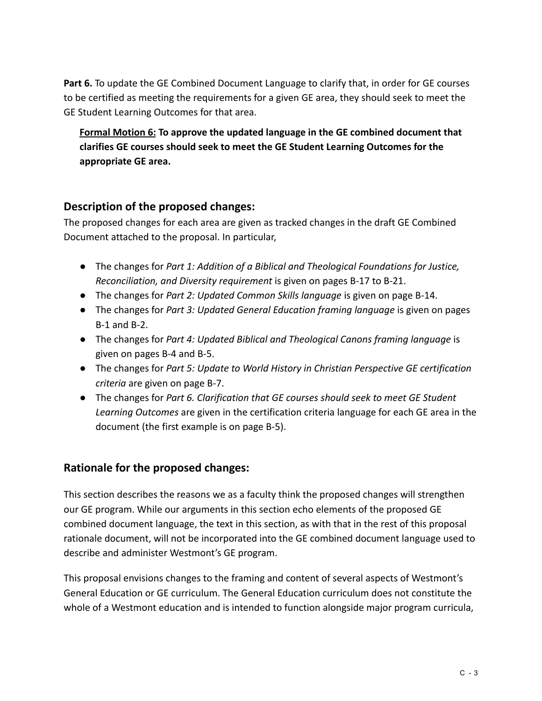Part 6. To update the GE Combined Document Language to clarify that, in order for GE courses to be certified as meeting the requirements for a given GE area, they should seek to meet the GE Student Learning Outcomes for that area.

**Formal Motion 6: To approve the updated language in the GE combined document that clarifies GE courses should seek to meet the GE Student Learning Outcomes for the appropriate GE area.**

### **Description of the proposed changes:**

The proposed changes for each area are given as tracked changes in the draft GE Combined Document attached to the proposal. In particular,

- The changes for *Part 1: Addition of a Biblical and Theological Foundations for Justice, Reconciliation, and Diversity requirement* is given on pages B-17 to B-21.
- The changes for *Part 2: Updated Common Skills language* is given on page B-14.
- The changes for *Part 3: Updated General Education framing language* is given on pages B-1 and B-2.
- The changes for *Part 4: Updated Biblical and Theological Canons framing language* is given on pages B-4 and B-5.
- The changes for *Part 5: Update to World History in Christian Perspective GE certification criteria* are given on page B-7.
- The changes for *Part 6. Clarification that GE courses should seek to meet GE Student Learning Outcomes* are given in the certification criteria language for each GE area in the document (the first example is on page B-5).

# **Rationale for the proposed changes:**

This section describes the reasons we as a faculty think the proposed changes will strengthen our GE program. While our arguments in this section echo elements of the proposed GE combined document language, the text in this section, as with that in the rest of this proposal rationale document, will not be incorporated into the GE combined document language used to describe and administer Westmont's GE program.

This proposal envisions changes to the framing and content of several aspects of Westmont's General Education or GE curriculum. The General Education curriculum does not constitute the whole of a Westmont education and is intended to function alongside major program curricula,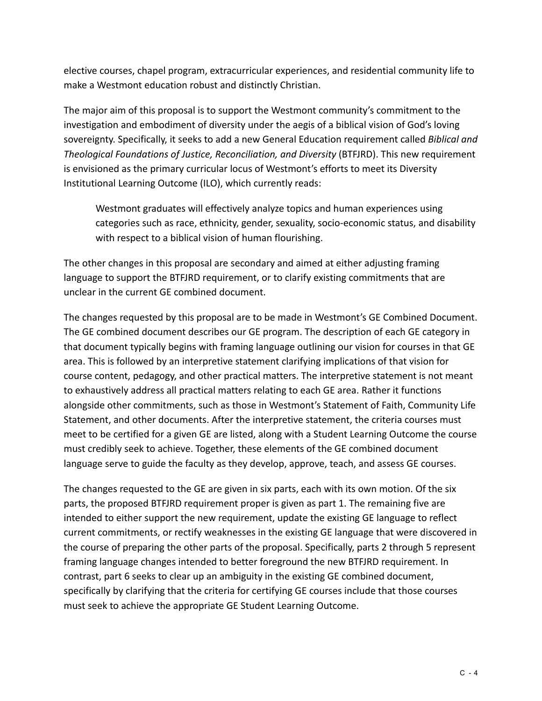elective courses, chapel program, extracurricular experiences, and residential community life to make a Westmont education robust and distinctly Christian.

The major aim of this proposal is to support the Westmont community's commitment to the investigation and embodiment of diversity under the aegis of a biblical vision of God's loving sovereignty. Specifically, it seeks to add a new General Education requirement called *Biblical and Theological Foundations of Justice, Reconciliation, and Diversity* (BTFJRD). This new requirement is envisioned as the primary curricular locus of Westmont's efforts to meet its Diversity Institutional Learning Outcome (ILO), which currently reads:

Westmont graduates will effectively analyze topics and human experiences using categories such as race, ethnicity, gender, sexuality, socio-economic status, and disability with respect to a biblical vision of human flourishing.

The other changes in this proposal are secondary and aimed at either adjusting framing language to support the BTFJRD requirement, or to clarify existing commitments that are unclear in the current GE combined document.

The changes requested by this proposal are to be made in Westmont's GE Combined Document. The GE combined document describes our GE program. The description of each GE category in that document typically begins with framing language outlining our vision for courses in that GE area. This is followed by an interpretive statement clarifying implications of that vision for course content, pedagogy, and other practical matters. The interpretive statement is not meant to exhaustively address all practical matters relating to each GE area. Rather it functions alongside other commitments, such as those in Westmont's Statement of Faith, Community Life Statement, and other documents. After the interpretive statement, the criteria courses must meet to be certified for a given GE are listed, along with a Student Learning Outcome the course must credibly seek to achieve. Together, these elements of the GE combined document language serve to guide the faculty as they develop, approve, teach, and assess GE courses.

The changes requested to the GE are given in six parts, each with its own motion. Of the six parts, the proposed BTFJRD requirement proper is given as part 1. The remaining five are intended to either support the new requirement, update the existing GE language to reflect current commitments, or rectify weaknesses in the existing GE language that were discovered in the course of preparing the other parts of the proposal. Specifically, parts 2 through 5 represent framing language changes intended to better foreground the new BTFJRD requirement. In contrast, part 6 seeks to clear up an ambiguity in the existing GE combined document, specifically by clarifying that the criteria for certifying GE courses include that those courses must seek to achieve the appropriate GE Student Learning Outcome.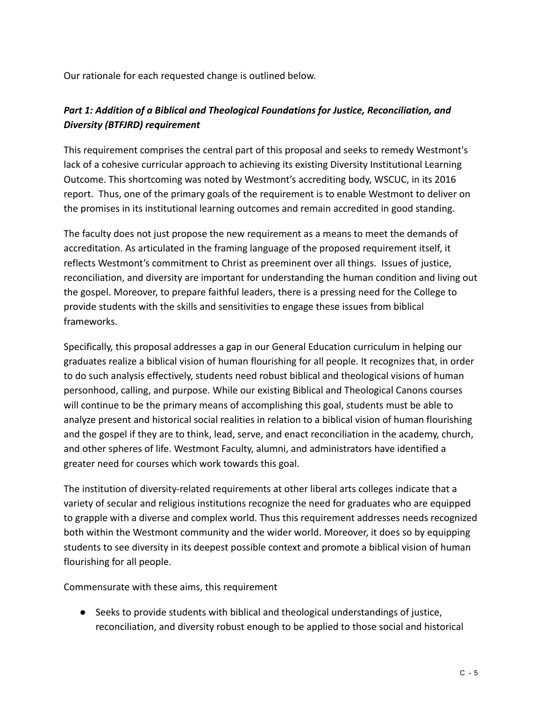Our rationale for each requested change is outlined below.

### *Part 1: Addition of a Biblical and Theological Foundations for Justice, Reconciliation, and Diversity (BTFJRD) requirement*

This requirement comprises the central part of this proposal and seeks to remedy Westmont's lack of a cohesive curricular approach to achieving its existing Diversity Institutional Learning Outcome. This shortcoming was noted by Westmont's accrediting body, WSCUC, in its 2016 report. Thus, one of the primary goals of the requirement is to enable Westmont to deliver on the promises in its institutional learning outcomes and remain accredited in good standing.

The faculty does not just propose the new requirement as a means to meet the demands of accreditation. As articulated in the framing language of the proposed requirement itself, it reflects Westmont's commitment to Christ as preeminent over all things. Issues of justice, reconciliation, and diversity are important for understanding the human condition and living out the gospel. Moreover, to prepare faithful leaders, there is a pressing need for the College to provide students with the skills and sensitivities to engage these issues from biblical frameworks.

Specifically, this proposal addresses a gap in our General Education curriculum in helping our graduates realize a biblical vision of human flourishing for all people. It recognizes that, in order to do such analysis effectively, students need robust biblical and theological visions of human personhood, calling, and purpose. While our existing Biblical and Theological Canons courses will continue to be the primary means of accomplishing this goal, students must be able to analyze present and historical social realities in relation to a biblical vision of human flourishing and the gospel if they are to think, lead, serve, and enact reconciliation in the academy, church, and other spheres of life. Westmont Faculty, alumni, and administrators have identified a greater need for courses which work towards this goal.

The institution of diversity-related requirements at other liberal arts colleges indicate that a variety of secular and religious institutions recognize the need for graduates who are equipped to grapple with a diverse and complex world. Thus this requirement addresses needs recognized both within the Westmont community and the wider world. Moreover, it does so by equipping students to see diversity in its deepest possible context and promote a biblical vision of human flourishing for all people.

Commensurate with these aims, this requirement

● Seeks to provide students with biblical and theological understandings of justice, reconciliation, and diversity robust enough to be applied to those social and historical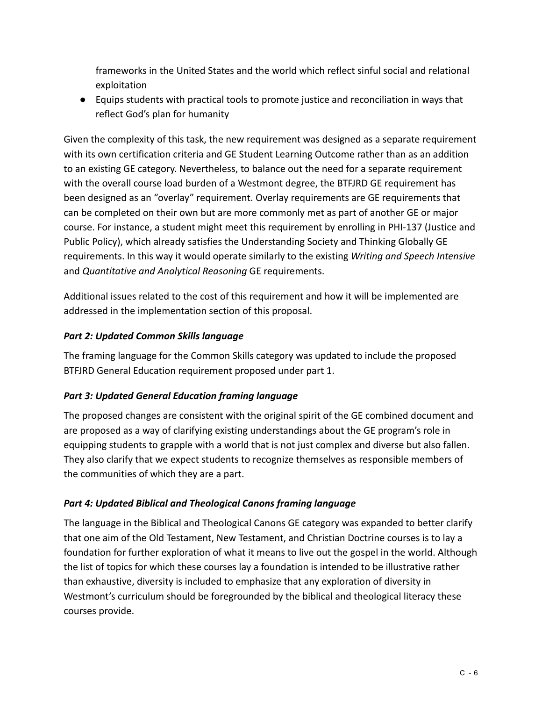frameworks in the United States and the world which reflect sinful social and relational exploitation

● Equips students with practical tools to promote justice and reconciliation in ways that reflect God's plan for humanity

Given the complexity of this task, the new requirement was designed as a separate requirement with its own certification criteria and GE Student Learning Outcome rather than as an addition to an existing GE category. Nevertheless, to balance out the need for a separate requirement with the overall course load burden of a Westmont degree, the BTFJRD GE requirement has been designed as an "overlay" requirement. Overlay requirements are GE requirements that can be completed on their own but are more commonly met as part of another GE or major course. For instance, a student might meet this requirement by enrolling in PHI-137 (Justice and Public Policy), which already satisfies the Understanding Society and Thinking Globally GE requirements. In this way it would operate similarly to the existing *Writing and Speech Intensive* and *Quantitative and Analytical Reasoning* GE requirements.

Additional issues related to the cost of this requirement and how it will be implemented are addressed in the implementation section of this proposal.

### *Part 2: Updated Common Skills language*

The framing language for the Common Skills category was updated to include the proposed BTFJRD General Education requirement proposed under part 1.

# *Part 3: Updated General Education framing language*

The proposed changes are consistent with the original spirit of the GE combined document and are proposed as a way of clarifying existing understandings about the GE program's role in equipping students to grapple with a world that is not just complex and diverse but also fallen. They also clarify that we expect students to recognize themselves as responsible members of the communities of which they are a part.

# *Part 4: Updated Biblical and Theological Canons framing language*

The language in the Biblical and Theological Canons GE category was expanded to better clarify that one aim of the Old Testament, New Testament, and Christian Doctrine courses is to lay a foundation for further exploration of what it means to live out the gospel in the world. Although the list of topics for which these courses lay a foundation is intended to be illustrative rather than exhaustive, diversity is included to emphasize that any exploration of diversity in Westmont's curriculum should be foregrounded by the biblical and theological literacy these courses provide.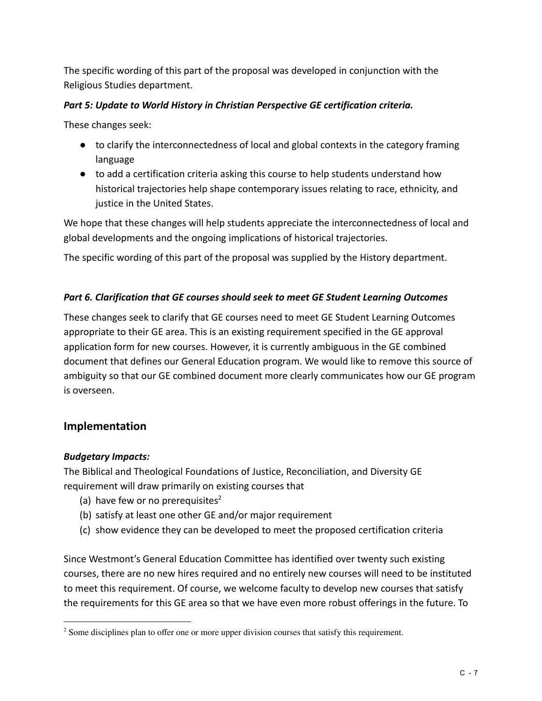The specific wording of this part of the proposal was developed in conjunction with the Religious Studies department.

#### *Part 5: Update to World History in Christian Perspective GE certification criteria.*

These changes seek:

- to clarify the interconnectedness of local and global contexts in the category framing language
- to add a certification criteria asking this course to help students understand how historical trajectories help shape contemporary issues relating to race, ethnicity, and justice in the United States.

We hope that these changes will help students appreciate the interconnectedness of local and global developments and the ongoing implications of historical trajectories.

The specific wording of this part of the proposal was supplied by the History department.

#### *Part 6. Clarification that GE courses should seek to meet GE Student Learning Outcomes*

These changes seek to clarify that GE courses need to meet GE Student Learning Outcomes appropriate to their GE area. This is an existing requirement specified in the GE approval application form for new courses. However, it is currently ambiguous in the GE combined document that defines our General Education program. We would like to remove this source of ambiguity so that our GE combined document more clearly communicates how our GE program is overseen.

### **Implementation**

#### *Budgetary Impacts:*

The Biblical and Theological Foundations of Justice, Reconciliation, and Diversity GE requirement will draw primarily on existing courses that

- (a) have few or no prerequisites<sup>2</sup>
- (b) satisfy at least one other GE and/or major requirement
- (c) show evidence they can be developed to meet the proposed certification criteria

Since Westmont's General Education Committee has identified over twenty such existing courses, there are no new hires required and no entirely new courses will need to be instituted to meet this requirement. Of course, we welcome faculty to develop new courses that satisfy the requirements for this GE area so that we have even more robust offerings in the future. To

<sup>&</sup>lt;sup>2</sup> Some disciplines plan to offer one or more upper division courses that satisfy this requirement.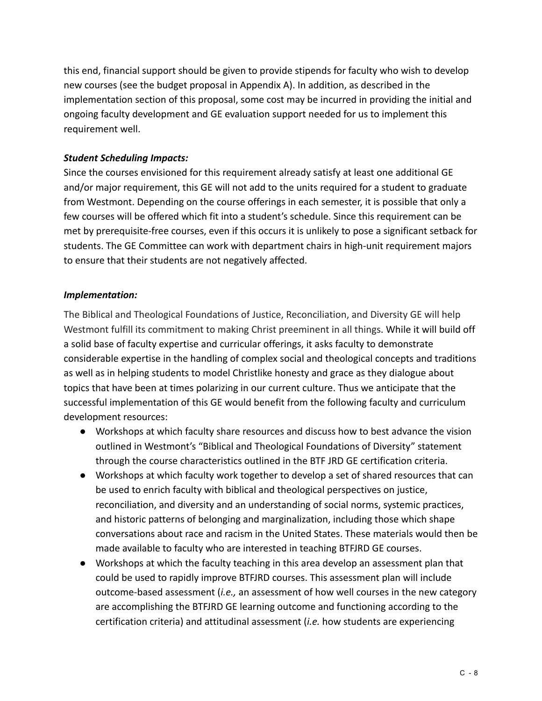this end, financial support should be given to provide stipends for faculty who wish to develop new courses (see the budget proposal in Appendix A). In addition, as described in the implementation section of this proposal, some cost may be incurred in providing the initial and ongoing faculty development and GE evaluation support needed for us to implement this requirement well.

#### *Student Scheduling Impacts:*

Since the courses envisioned for this requirement already satisfy at least one additional GE and/or major requirement, this GE will not add to the units required for a student to graduate from Westmont. Depending on the course offerings in each semester, it is possible that only a few courses will be offered which fit into a student's schedule. Since this requirement can be met by prerequisite-free courses, even if this occurs it is unlikely to pose a significant setback for students. The GE Committee can work with department chairs in high-unit requirement majors to ensure that their students are not negatively affected.

#### *Implementation:*

The Biblical and Theological Foundations of Justice, Reconciliation, and Diversity GE will help Westmont fulfill its commitment to making Christ preeminent in all things. While it will build off a solid base of faculty expertise and curricular offerings, it asks faculty to demonstrate considerable expertise in the handling of complex social and theological concepts and traditions as well as in helping students to model Christlike honesty and grace as they dialogue about topics that have been at times polarizing in our current culture. Thus we anticipate that the successful implementation of this GE would benefit from the following faculty and curriculum development resources:

- Workshops at which faculty share resources and discuss how to best advance the vision outlined in Westmont's "Biblical and Theological Foundations of Diversity" statement through the course characteristics outlined in the BTF JRD GE certification criteria.
- Workshops at which faculty work together to develop a set of shared resources that can be used to enrich faculty with biblical and theological perspectives on justice, reconciliation, and diversity and an understanding of social norms, systemic practices, and historic patterns of belonging and marginalization, including those which shape conversations about race and racism in the United States. These materials would then be made available to faculty who are interested in teaching BTFJRD GE courses.
- Workshops at which the faculty teaching in this area develop an assessment plan that could be used to rapidly improve BTFJRD courses. This assessment plan will include outcome-based assessment (*i.e.,* an assessment of how well courses in the new category are accomplishing the BTFJRD GE learning outcome and functioning according to the certification criteria) and attitudinal assessment (*i.e.* how students are experiencing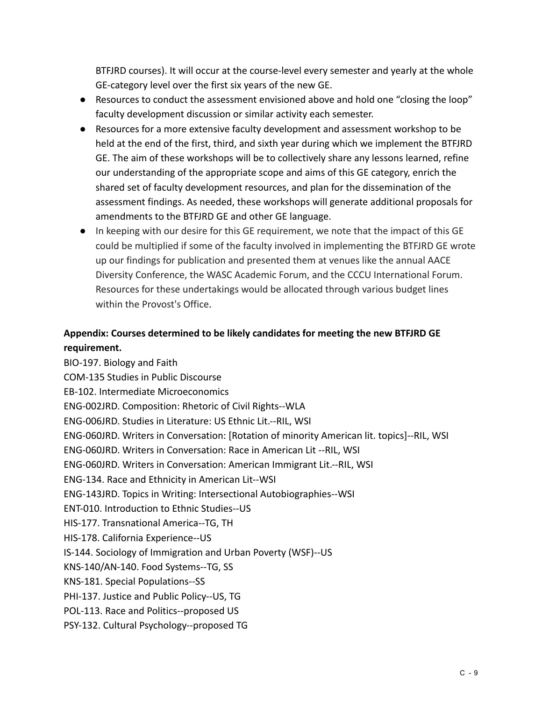BTFJRD courses). It will occur at the course-level every semester and yearly at the whole GE-category level over the first six years of the new GE.

- Resources to conduct the assessment envisioned above and hold one "closing the loop" faculty development discussion or similar activity each semester.
- Resources for a more extensive faculty development and assessment workshop to be held at the end of the first, third, and sixth year during which we implement the BTFJRD GE. The aim of these workshops will be to collectively share any lessons learned, refine our understanding of the appropriate scope and aims of this GE category, enrich the shared set of faculty development resources, and plan for the dissemination of the assessment findings. As needed, these workshops will generate additional proposals for amendments to the BTFJRD GE and other GE language.
- In keeping with our desire for this GE requirement, we note that the impact of this GE could be multiplied if some of the faculty involved in implementing the BTFJRD GE wrote up our findings for publication and presented them at venues like the annual AACE Diversity Conference, the WASC Academic Forum, and the CCCU International Forum. Resources for these undertakings would be allocated through various budget lines within the Provost's Office.

# **Appendix: Courses determined to be likely candidates for meeting the new BTFJRD GE requirement.**

BIO-197. Biology and Faith COM-135 Studies in Public Discourse EB-102. Intermediate Microeconomics ENG-002JRD. Composition: Rhetoric of Civil Rights--WLA ENG-006JRD. Studies in Literature: US Ethnic Lit.--RIL, WSI ENG-060JRD. Writers in Conversation: [Rotation of minority American lit. topics]--RIL, WSI ENG-060JRD. Writers in Conversation: Race in American Lit --RIL, WSI ENG-060JRD. Writers in Conversation: American Immigrant Lit.--RIL, WSI ENG-134. Race and Ethnicity in American Lit--WSI ENG-143JRD. Topics in Writing: Intersectional Autobiographies--WSI ENT-010. Introduction to Ethnic Studies--US HIS-177. Transnational America--TG, TH HIS-178. California Experience--US IS-144. Sociology of Immigration and Urban Poverty (WSF)--US KNS-140/AN-140. Food Systems--TG, SS KNS-181. Special Populations--SS PHI-137. Justice and Public Policy--US, TG POL-113. Race and Politics--proposed US PSY-132. Cultural Psychology--proposed TG